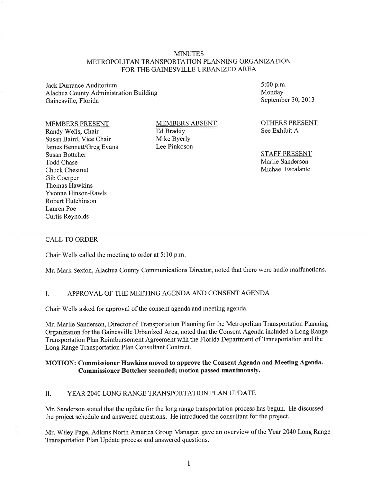### **MINUTES** METROPOLITAN TRANSPORTATION PLANNING ORGANIZATION FOR THE GAINESVILLE URBANIZED AREA

Jack Durrance Auditorium Alachua County Administration Building Gainesville, Florida

#### MEMBERS PRESENT

Randy Wells, Chair Susan Baird, Vice Chair James Bennett/Greg Evans Susan Bottcher Todd Chase Chuck Chestnut Gib Coerper Thomas Hawkins Yvonne Hinson-Rawls Robert Hutchinson Lauren Poe Curtis Reynolds

MEMBERS ABSENT Ed Braddy Mike Byerly Lee Pinkoson

5:00 p.m. Monday September 30, 2013

OTHERS PRESENT See Exhibit A

STAFF PRESENT Marlie Sanderson Michael Escalante

#### CALL TO ORDER

Chair Wells called the meeting to order at 5: 10 p.m.

Mr. Mark Sexton, Alachua County Communications Director, noted that there were audio malfunctions.

### I. APPROVAL OF THE MEETING AGENDA AND CONSENT AGENDA

Chair Wells asked for approval of the consent agenda and meeting agenda.

Mr. Marlie Sanderson, Director of Transportation Planning for the Metropolitan Transportation Planning Organization for the Gainesville Urbanized Area, noted that the Consent Agenda included a Long Range Transportation Plan Reimbursement Agreement with the Florida Department of Transportation and the Long Range Transportation Plan Consultant Contract.

### MOTION: Commissioner Hawkins moved to approve the Consent Agenda and Meeting Agenda. Commissioner Bottcher seconded; motion passed unanimously.

## II. YEAR 2040 LONG RANGE TRANSPORTATION PLAN UPDATE

Mr. Sanderson stated that the update for the long range transportation process has begun. He discussed the project schedule and answered questions. He introduced the consultant for the project.

Mr. Wiley Page, Adkins North America Group Manager, gave an overview of the Year 2040 Long Range Transportation Plan Update process and answered questions.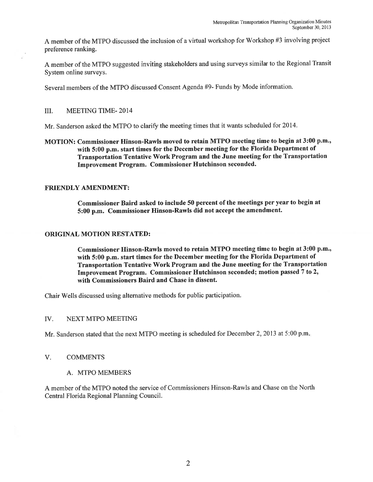A member of the MTPO discussed the inclusion of a virtual workshop for Workshop #3 involving project preference ranking.

A member of the MTPO suggested inviting stakeholders and using surveys similar to the Regional Transit System online surveys.

Several members of the MTPO discussed Consent Agenda #9- Funds by Mode information.

### III. MEETING TIME- 2014

Mr. Sanderson asked the MTPO to clarify the meeting times that it wants scheduled for 2014.

MOTION: Commissioner Hinson-Rawls moved to retain MTPO meeting time to begin at 3:00 p.m., with 5:00 p.m. start times for the December meeting for the Florida Department of Transportation Tentative Work Program and the June meeting for the Transportation Improvement Program. Commissioner Hutchinson seconded.

### FRIENDLY AMENDMENT:

Commissioner Baird asked to include 50 percent of the meetings per year to begin at 5:00 p.m. Commissioner Hinson-Rawls did not accept the amendment.

### ORIGINAL MOTION RESTATED:

Commissioner Hinson-Rawls moved to retain MTPO meeting time to begin at 3:00 p.m., with 5:00 p.m. start times for the December meeting for the Florida Department of Transportation Tentative Work Program and the June meeting for the Transportation Improvement Program. Commissioner Hutchinson seconded; motion passed 7 to 2, with Commissioners Baird and Chase in dissent.

Chair Wells discussed using alternative methods for public participation.

#### IV. NEXT MTPO MEETING

Mr. Sanderson stated that the next MTPO meeting is scheduled for December 2, 2013 at 5:00 p.m.

- V. COMMENTS
	- A. MTPO MEMBERS

A member of the MTPO noted the service of Commissioners Hinson-Rawls and Chase on the North Central Florida Regional Planning Council.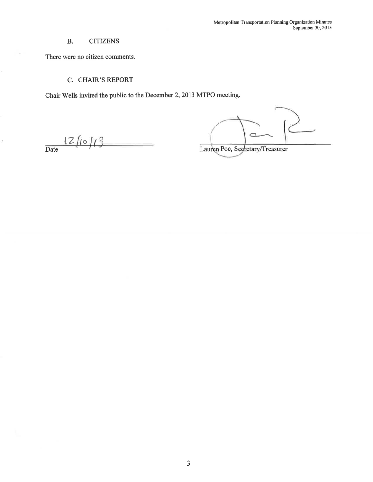# B. CITIZENS

There were no citizen comments.

## C. CHAIR'S REPORT

Chair Wells invited the public to the December 2, 2013 MTPO meeting.

 $\frac{12}{\text{Date}}$ 

ò.

 $\subset$ 

Lauren Poe, Segretary/Treasurer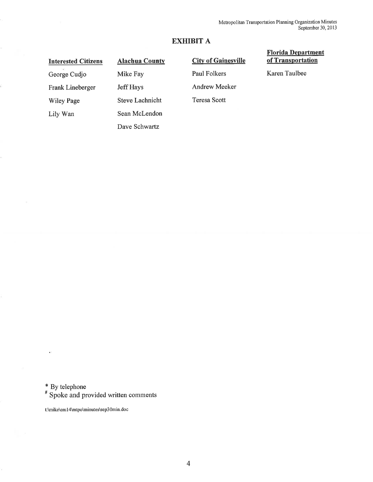# **EXHIBIT A**

# **Interested Citizens**

George Cudjo

Wiley Page

Lily Wan

Frank Lineberger

**Alachua County**  Mike Fay Jeff Hays Steve Lachnicht Sean McLendon Dave Schwartz

# **City of Gainesville**

Paul Folkers

Andrew Meeker

Teresa Scott

### **Florida Department of Transportation**

Karen Taulbee

\* By telephone

# Spoke and provided written comments

t:\mike\em l 4\mtpo\minutes\sep30min.doc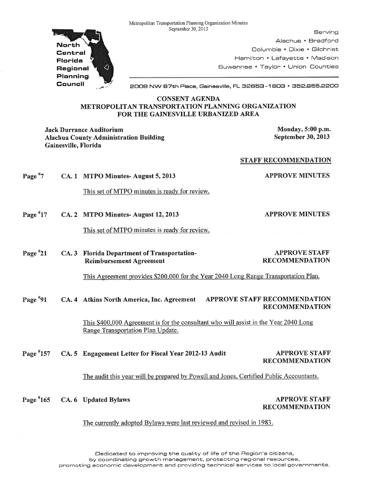Metropolitan Transportation Planning Organization Minutes



September 30, 2013 Serving Alachua • Bradford Columbia • Dixie • Gilchrist Hamilton • Lafayette • Madison Suwannee • Taylor • Union Counties

2009 NW 67th Place, Gainesville, FL 32653-1603 • 352.855.2200

### CONSENT AGENDA METROPOLITAN TRANSPORTATION PLANNING ORGANIZATION FOR THE GAINESVILLE URBANIZED AREA

Jack Durrance Auditorium and the state of the state of the Monday, 5:00 p.m. Alachua County Administration Building Gainesville, Florida

September 30, 2013

APPROVE MINUTES

STAFF RECOMMENDATION

Page  $*7$ APPROVE MINUTES CA. 1 MTPO Minutes- August 5, 2013

This set of MTPO minutes is ready for review.

Page #17 CA. 2 MTPO Minutes-August 12, 2013

This set of MTPO minutes is ready for review.

Page #21 CA. 3 Florida Department of Transportation-Reimbursement Agreement APPROVE STAFF RECOMMENDATION

This Agreement provides \$200.000 for the Year 2040 Long Range Transportation Plan.

Page #91 CA. 4 Atkins North America, Inc. Agreement APPROVE STAFF RECOMMENDATION RECOMMENDATION

> This \$400,000 Agreement is for the consultant who will assist in the Year 2040 Long Range Transportation Plan Update.

Page #157 CA. 5 Engagement Letter for Fiscal Year 2012-13 Audit APPROVE STAFF RECOMMENDATION

The audit this year will be prepared by Powell and Jones, Certified Public Accountants.

Page #165

CA. 6 Updated Bylaws APPROVE STAFF RECOMMENDATION

### The currently adopted Bylaws were last reviewed and revised in 1983.